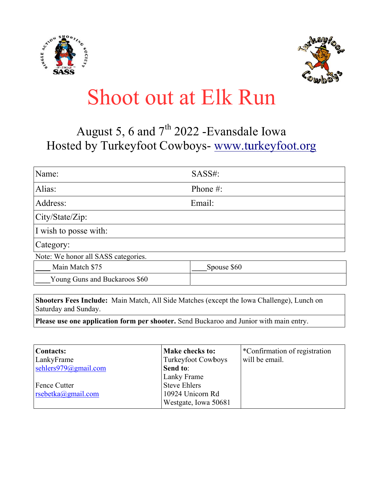



## **Shoot out at Elk Run**

## August 5, 6 and 7<sup>th</sup> 2022 -Evansdale Iowa Hosted by Turkeyfoot Cowboys- www.turkeyfoot.org

| Name:                               | SASS#:      |  |
|-------------------------------------|-------------|--|
| Alias:                              | Phone $#$ : |  |
| Address:                            | Email:      |  |
| City/State/Zip:                     |             |  |
| I wish to posse with:               |             |  |
| Category:                           |             |  |
| Note: We honor all SASS categories. |             |  |
| Main Match \$75                     | Spouse \$60 |  |
| Young Guns and Buckaroos \$60       |             |  |

Shooters Fees Include: Main Match, All Side Matches (except the Iowa Challenge), Lunch on Saturday and Sunday.

Please use one application form per shooter. Send Buckaroo and Junior with main entry.

| <b>Contacts:</b>         | Make checks to:      | *Confirmation of registration |
|--------------------------|----------------------|-------------------------------|
| LankyFrame               | Turkeyfoot Cowboys   | will be email.                |
| sehlers $979@g$ mail.com | Send to:             |                               |
|                          | <b>Lanky Frame</b>   |                               |
| <b>Fence Cutter</b>      | <b>Steve Ehlers</b>  |                               |
| $rsebetka(a)$ gmail.com  | 10924 Unicorn Rd     |                               |
|                          | Westgate, Iowa 50681 |                               |